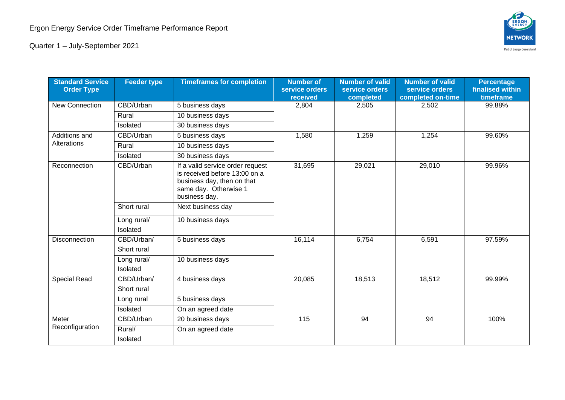

Quarter 1 – July-September 2021

| <b>Standard Service</b><br><b>Order Type</b> | <b>Feeder type</b>        | <b>Timeframes for completion</b>                                                                                                          | <b>Number of</b><br>service orders<br>received | <b>Number of valid</b><br>service orders<br>completed | <b>Number of valid</b><br>service orders<br>completed on-time | <b>Percentage</b><br>finalised within<br>timeframe |
|----------------------------------------------|---------------------------|-------------------------------------------------------------------------------------------------------------------------------------------|------------------------------------------------|-------------------------------------------------------|---------------------------------------------------------------|----------------------------------------------------|
| <b>New Connection</b>                        | CBD/Urban                 | 5 business days                                                                                                                           | 2,804                                          | 2,505                                                 | 2,502                                                         | 99.88%                                             |
|                                              | Rural                     | 10 business days                                                                                                                          |                                                |                                                       |                                                               |                                                    |
|                                              | Isolated                  | 30 business days                                                                                                                          |                                                |                                                       |                                                               |                                                    |
| Additions and<br>Alterations                 | CBD/Urban                 | 5 business days                                                                                                                           | 1,580                                          | 1,259                                                 | 1,254                                                         | 99.60%                                             |
|                                              | Rural                     | 10 business days                                                                                                                          |                                                |                                                       |                                                               |                                                    |
|                                              | Isolated                  | 30 business days                                                                                                                          |                                                |                                                       |                                                               |                                                    |
| Reconnection                                 | CBD/Urban                 | If a valid service order request<br>is received before 13:00 on a<br>business day, then on that<br>same day. Otherwise 1<br>business day. | 31,695                                         | 29,021                                                | 29,010                                                        | 99.96%                                             |
|                                              | Short rural               | Next business day                                                                                                                         |                                                |                                                       |                                                               |                                                    |
|                                              | Long rural/<br>Isolated   | 10 business days                                                                                                                          |                                                |                                                       |                                                               |                                                    |
| Disconnection                                | CBD/Urban/<br>Short rural | 5 business days                                                                                                                           | 16,114                                         | 6,754                                                 | 6,591                                                         | 97.59%                                             |
|                                              | Long rural/<br>Isolated   | 10 business days                                                                                                                          |                                                |                                                       |                                                               |                                                    |
| <b>Special Read</b>                          | CBD/Urban/<br>Short rural | 4 business days                                                                                                                           | 20,085                                         | 18,513                                                | 18,512                                                        | 99.99%                                             |
|                                              | Long rural                | 5 business days                                                                                                                           |                                                |                                                       |                                                               |                                                    |
|                                              | Isolated                  | On an agreed date                                                                                                                         |                                                |                                                       |                                                               |                                                    |
| Meter<br>Reconfiguration                     | CBD/Urban                 | 20 business days                                                                                                                          | 115                                            | 94                                                    | 94                                                            | 100%                                               |
|                                              | Rural/<br>Isolated        | On an agreed date                                                                                                                         |                                                |                                                       |                                                               |                                                    |